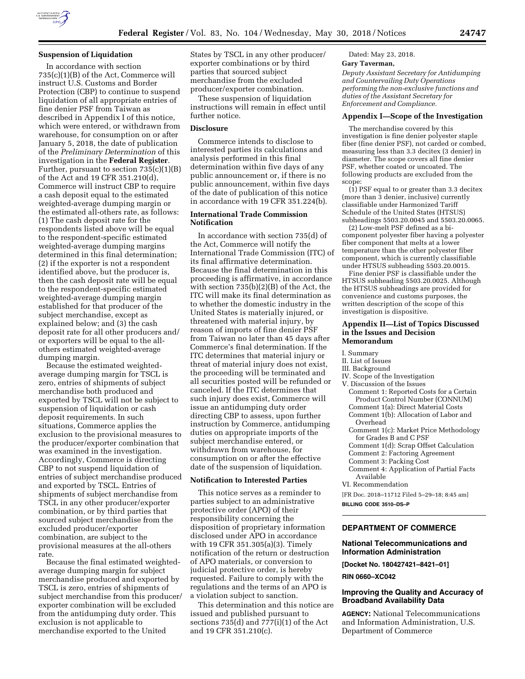

## **Suspension of Liquidation**

In accordance with section 735(c)(1)(B) of the Act, Commerce will instruct U.S. Customs and Border Protection (CBP) to continue to suspend liquidation of all appropriate entries of fine denier PSF from Taiwan as described in Appendix I of this notice, which were entered, or withdrawn from warehouse, for consumption on or after January 5, 2018, the date of publication of the *Preliminary Determination* of this investigation in the **Federal Register**. Further, pursuant to section  $735(c)(1)(B)$ of the Act and 19 CFR 351.210(d), Commerce will instruct CBP to require a cash deposit equal to the estimated weighted-average dumping margin or the estimated all-others rate, as follows: (1) The cash deposit rate for the respondents listed above will be equal to the respondent-specific estimated weighted-average dumping margins determined in this final determination; (2) if the exporter is not a respondent identified above, but the producer is, then the cash deposit rate will be equal to the respondent-specific estimated weighted-average dumping margin established for that producer of the subject merchandise, except as explained below; and (3) the cash deposit rate for all other producers and/ or exporters will be equal to the allothers estimated weighted-average dumping margin.

Because the estimated weightedaverage dumping margin for TSCL is zero, entries of shipments of subject merchandise both produced and exported by TSCL will not be subject to suspension of liquidation or cash deposit requirements. In such situations, Commerce applies the exclusion to the provisional measures to the producer/exporter combination that was examined in the investigation. Accordingly, Commerce is directing CBP to not suspend liquidation of entries of subject merchandise produced and exported by TSCL. Entries of shipments of subject merchandise from TSCL in any other producer/exporter combination, or by third parties that sourced subject merchandise from the excluded producer/exporter combination, are subject to the provisional measures at the all-others rate.

Because the final estimated weightedaverage dumping margin for subject merchandise produced and exported by TSCL is zero, entries of shipments of subject merchandise from this producer/ exporter combination will be excluded from the antidumping duty order. This exclusion is not applicable to merchandise exported to the United

States by TSCL in any other producer/ exporter combinations or by third parties that sourced subject merchandise from the excluded producer/exporter combination.

These suspension of liquidation instructions will remain in effect until further notice.

### **Disclosure**

Commerce intends to disclose to interested parties its calculations and analysis performed in this final determination within five days of any public announcement or, if there is no public announcement, within five days of the date of publication of this notice in accordance with 19 CFR 351.224(b).

#### **International Trade Commission Notification**

In accordance with section 735(d) of the Act, Commerce will notify the International Trade Commission (ITC) of its final affirmative determination. Because the final determination in this proceeding is affirmative, in accordance with section 735(b)(2)(B) of the Act, the ITC will make its final determination as to whether the domestic industry in the United States is materially injured, or threatened with material injury, by reason of imports of fine denier PSF from Taiwan no later than 45 days after Commerce's final determination. If the ITC determines that material injury or threat of material injury does not exist, the proceeding will be terminated and all securities posted will be refunded or canceled. If the ITC determines that such injury does exist, Commerce will issue an antidumping duty order directing CBP to assess, upon further instruction by Commerce, antidumping duties on appropriate imports of the subject merchandise entered, or withdrawn from warehouse, for consumption on or after the effective date of the suspension of liquidation.

### **Notification to Interested Parties**

This notice serves as a reminder to parties subject to an administrative protective order (APO) of their responsibility concerning the disposition of proprietary information disclosed under APO in accordance with 19 CFR 351.305(a)(3). Timely notification of the return or destruction of APO materials, or conversion to judicial protective order, is hereby requested. Failure to comply with the regulations and the terms of an APO is a violation subject to sanction.

This determination and this notice are issued and published pursuant to sections 735(d) and 777(i)(1) of the Act and 19 CFR 351.210(c).

Dated: May 23, 2018.

#### **Gary Taverman,**

*Deputy Assistant Secretary for Antidumping and Countervailing Duty Operations performing the non-exclusive functions and duties of the Assistant Secretary for Enforcement and Compliance.* 

#### **Appendix I—Scope of the Investigation**

The merchandise covered by this investigation is fine denier polyester staple fiber (fine denier PSF), not carded or combed, measuring less than 3.3 decitex (3 denier) in diameter. The scope covers all fine denier PSF, whether coated or uncoated. The following products are excluded from the scope:

(1) PSF equal to or greater than 3.3 decitex (more than 3 denier, inclusive) currently classifiable under Harmonized Tariff Schedule of the United States (HTSUS) subheadings 5503.20.0045 and 5503.20.0065.

(2) Low-melt PSF defined as a bicomponent polyester fiber having a polyester fiber component that melts at a lower temperature than the other polyester fiber component, which is currently classifiable under HTSUS subheading 5503.20.0015.

Fine denier PSF is classifiable under the HTSUS subheading 5503.20.0025. Although the HTSUS subheadings are provided for convenience and customs purposes, the written description of the scope of this investigation is dispositive.

#### **Appendix II—List of Topics Discussed in the Issues and Decision Memorandum**

I. Summary

- II. List of Issues
- III. Background
- IV. Scope of the Investigation
- V. Discussion of the Issues
	- Comment 1: Reported Costs for a Certain Product Control Number (CONNUM)
	- Comment 1(a): Direct Material Costs
	- Comment 1(b): Allocation of Labor and Overhead
	- Comment 1(c): Market Price Methodology for Grades B and C PSF
	- Comment 1(d): Scrap Offset Calculation
- Comment 2: Factoring Agreement
- Comment 3: Packing Cost
- Comment 4: Application of Partial Facts Available
- VI. Recommendation
- [FR Doc. 2018–11712 Filed 5–29–18; 8:45 am]

**BILLING CODE 3510–DS–P** 

## **DEPARTMENT OF COMMERCE**

## **National Telecommunications and Information Administration**

**[Docket No. 180427421–8421–01]** 

## **RIN 0660–XC042**

#### **Improving the Quality and Accuracy of Broadband Availability Data**

**AGENCY:** National Telecommunications and Information Administration, U.S. Department of Commerce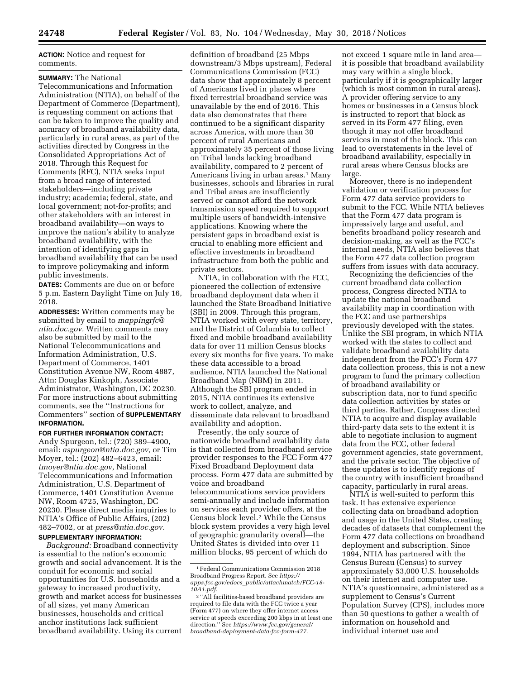**ACTION:** Notice and request for comments.

## **SUMMARY:** The National

Telecommunications and Information Administration (NTIA), on behalf of the Department of Commerce (Department), is requesting comment on actions that can be taken to improve the quality and accuracy of broadband availability data, particularly in rural areas, as part of the activities directed by Congress in the Consolidated Appropriations Act of 2018. Through this Request for Comments (RFC), NTIA seeks input from a broad range of interested stakeholders—including private industry; academia; federal, state, and local government; not-for-profits; and other stakeholders with an interest in broadband availability—on ways to improve the nation's ability to analyze broadband availability, with the intention of identifying gaps in broadband availability that can be used to improve policymaking and inform public investments.

**DATES:** Comments are due on or before 5 p.m. Eastern Daylight Time on July 16, 2018.

**ADDRESSES:** Written comments may be submitted by email to *[mappingrfc@](mailto:mappingrfc@ntia.doc.gov) [ntia.doc.gov.](mailto:mappingrfc@ntia.doc.gov)* Written comments may also be submitted by mail to the National Telecommunications and Information Administration, U.S. Department of Commerce, 1401 Constitution Avenue NW, Room 4887, Attn: Douglas Kinkoph, Associate Administrator, Washington, DC 20230. For more instructions about submitting comments, see the ''Instructions for Commenters'' section of **SUPPLEMENTARY INFORMATION.** 

## **FOR FURTHER INFORMATION CONTACT:**

Andy Spurgeon, tel.: (720) 389–4900, email: *[aspurgeon@ntia.doc.gov,](mailto:aspurgeon@ntia.doc.gov)* or Tim Moyer, tel.: (202) 482–6423, email: *[tmoyer@ntia.doc.gov,](mailto:tmoyer@ntia.doc.gov)* National Telecommunications and Information Administration, U.S. Department of Commerce, 1401 Constitution Avenue NW, Room 4725, Washington, DC 20230. Please direct media inquiries to NTIA's Office of Public Affairs, (202) 482–7002, or at *[press@ntia.doc.gov.](mailto:press@ntia.doc.gov)* 

# **SUPPLEMENTARY INFORMATION:**

*Background:* Broadband connectivity is essential to the nation's economic growth and social advancement. It is the conduit for economic and social opportunities for U.S. households and a gateway to increased productivity, growth and market access for businesses of all sizes, yet many American businesses, households and critical anchor institutions lack sufficient broadband availability. Using its current

definition of broadband (25 Mbps downstream/3 Mbps upstream), Federal Communications Commission (FCC) data show that approximately 8 percent of Americans lived in places where fixed terrestrial broadband service was unavailable by the end of 2016. This data also demonstrates that there continued to be a significant disparity across America, with more than 30 percent of rural Americans and approximately 35 percent of those living on Tribal lands lacking broadband availability, compared to 2 percent of Americans living in urban areas.<sup>1</sup> Many businesses, schools and libraries in rural and Tribal areas are insufficiently served or cannot afford the network transmission speed required to support multiple users of bandwidth-intensive applications. Knowing where the persistent gaps in broadband exist is crucial to enabling more efficient and effective investments in broadband infrastructure from both the public and private sectors.

NTIA, in collaboration with the FCC, pioneered the collection of extensive broadband deployment data when it launched the State Broadband Initiative (SBI) in 2009. Through this program, NTIA worked with every state, territory, and the District of Columbia to collect fixed and mobile broadband availability data for over 11 million Census blocks every six months for five years. To make these data accessible to a broad audience, NTIA launched the National Broadband Map (NBM) in 2011. Although the SBI program ended in 2015, NTIA continues its extensive work to collect, analyze, and disseminate data relevant to broadband availability and adoption.

Presently, the only source of nationwide broadband availability data is that collected from broadband service provider responses to the FCC Form 477 Fixed Broadband Deployment data process. Form 477 data are submitted by voice and broadband telecommunications service providers semi-annually and include information on services each provider offers, at the Census block level.2 While the Census block system provides a very high level of geographic granularity overall—the United States is divided into over 11 million blocks, 95 percent of which do

not exceed 1 square mile in land area it is possible that broadband availability may vary within a single block, particularly if it is geographically larger (which is most common in rural areas). A provider offering service to any homes or businesses in a Census block is instructed to report that block as served in its Form 477 filing, even though it may not offer broadband services in most of the block. This can lead to overstatements in the level of broadband availability, especially in rural areas where Census blocks are large.

Moreover, there is no independent validation or verification process for Form 477 data service providers to submit to the FCC. While NTIA believes that the Form 477 data program is impressively large and useful, and benefits broadband policy research and decision-making, as well as the FCC's internal needs, NTIA also believes that the Form 477 data collection program suffers from issues with data accuracy.

Recognizing the deficiencies of the current broadband data collection process, Congress directed NTIA to update the national broadband availability map in coordination with the FCC and use partnerships previously developed with the states. Unlike the SBI program, in which NTIA worked with the states to collect and validate broadband availability data independent from the FCC's Form 477 data collection process, this is not a new program to fund the primary collection of broadband availability or subscription data, nor to fund specific data collection activities by states or third parties. Rather, Congress directed NTIA to acquire and display available third-party data sets to the extent it is able to negotiate inclusion to augment data from the FCC, other federal government agencies, state government, and the private sector. The objective of these updates is to identify regions of the country with insufficient broadband capacity, particularly in rural areas.

NTIA is well-suited to perform this task. It has extensive experience collecting data on broadband adoption and usage in the United States, creating decades of datasets that complement the Form 477 data collections on broadband deployment and subscription. Since 1994, NTIA has partnered with the Census Bureau (Census) to survey approximately 53,000 U.S. households on their internet and computer use. NTIA's questionnaire, administered as a supplement to Census's Current Population Survey (CPS), includes more than 50 questions to gather a wealth of information on household and individual internet use and

<sup>1</sup>Federal Communications Commission 2018 Broadband Progress Report. See *[https://](https://apps.fcc.gov/edocs_public/attachmatch/FCC-18-10A1.pdf) apps.fcc.gov/edocs*\_*[public/attachmatch/FCC-18-](https://apps.fcc.gov/edocs_public/attachmatch/FCC-18-10A1.pdf)  [10A1.pdf.](https://apps.fcc.gov/edocs_public/attachmatch/FCC-18-10A1.pdf)* 

<sup>2</sup> ''All facilities-based broadband providers are required to file data with the FCC twice a year (Form 477) on where they offer internet access service at speeds exceeding 200 kbps in at least one direction.'' See *[https://www.fcc.gov/general/](https://www.fcc.gov/general/broadband-deployment-data-fcc-form-477) [broadband-deployment-data-fcc-form-477.](https://www.fcc.gov/general/broadband-deployment-data-fcc-form-477)*